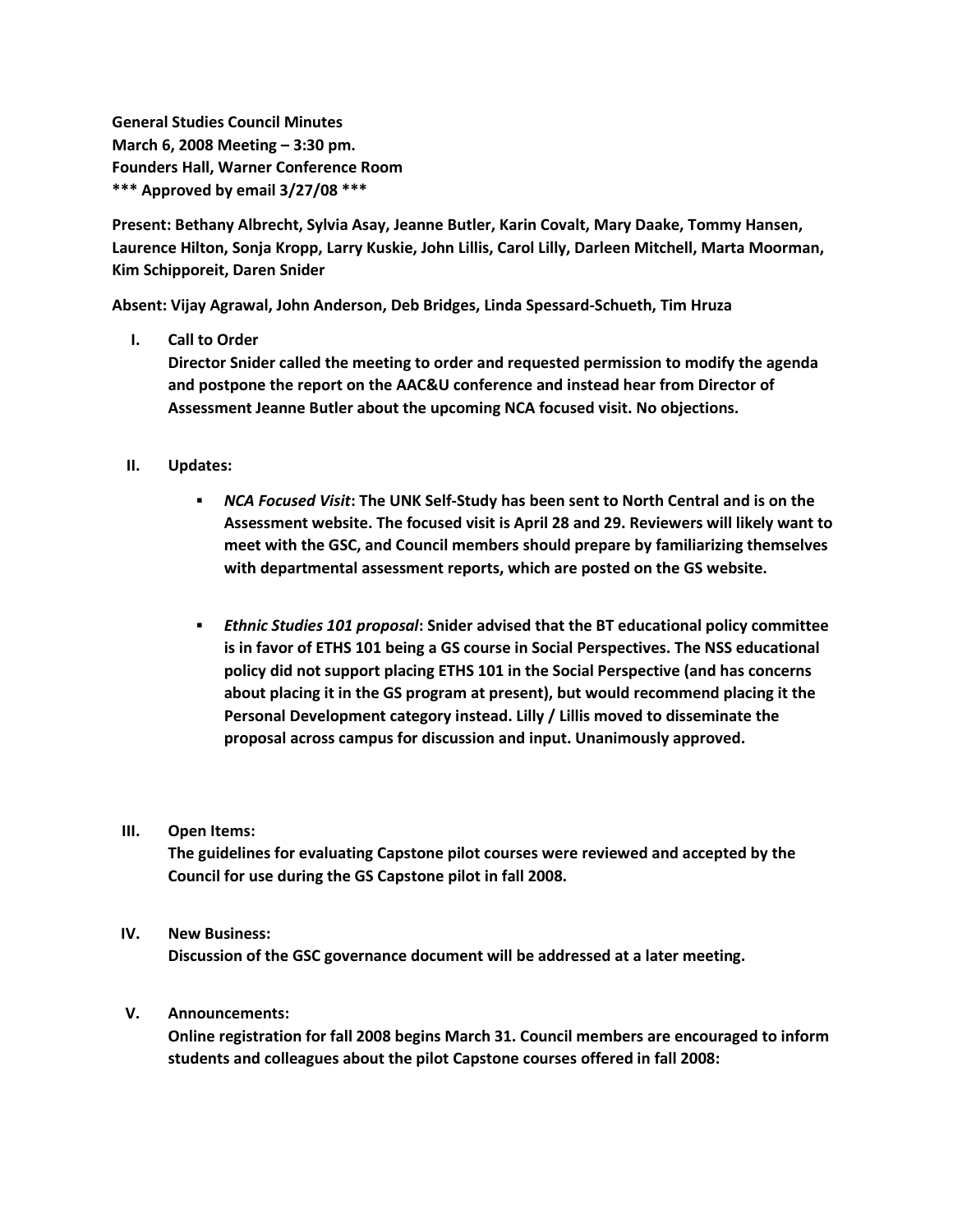**General Studies Council Minutes March 6, 2008 Meeting – 3:30 pm. Founders Hall, Warner Conference Room \*\*\* Approved by email 3/27/08 \*\*\***

**Present: Bethany Albrecht, Sylvia Asay, Jeanne Butler, Karin Covalt, Mary Daake, Tommy Hansen, Laurence Hilton, Sonja Kropp, Larry Kuskie, John Lillis, Carol Lilly, Darleen Mitchell, Marta Moorman, Kim Schipporeit, Daren Snider**

**Absent: Vijay Agrawal, John Anderson, Deb Bridges, Linda Spessard-Schueth, Tim Hruza**

## **I. Call to Order**

**Director Snider called the meeting to order and requested permission to modify the agenda and postpone the report on the AAC&U conference and instead hear from Director of Assessment Jeanne Butler about the upcoming NCA focused visit. No objections.**

- **II. Updates:**
	- *NCA Focused Visit***: The UNK Self-Study has been sent to North Central and is on the Assessment website. The focused visit is April 28 and 29. Reviewers will likely want to meet with the GSC, and Council members should prepare by familiarizing themselves with departmental assessment reports, which are posted on the GS website.**
	- *Ethnic Studies 101 proposal***: Snider advised that the BT educational policy committee is in favor of ETHS 101 being a GS course in Social Perspectives. The NSS educational policy did not support placing ETHS 101 in the Social Perspective (and has concerns about placing it in the GS program at present), but would recommend placing it the Personal Development category instead. Lilly / Lillis moved to disseminate the proposal across campus for discussion and input. Unanimously approved.**

## **III. Open Items:**

**The guidelines for evaluating Capstone pilot courses were reviewed and accepted by the Council for use during the GS Capstone pilot in fall 2008.**

## **IV. New Business:**

**Discussion of the GSC governance document will be addressed at a later meeting.**

## **V. Announcements:**

**Online registration for fall 2008 begins March 31. Council members are encouraged to inform students and colleagues about the pilot Capstone courses offered in fall 2008:**